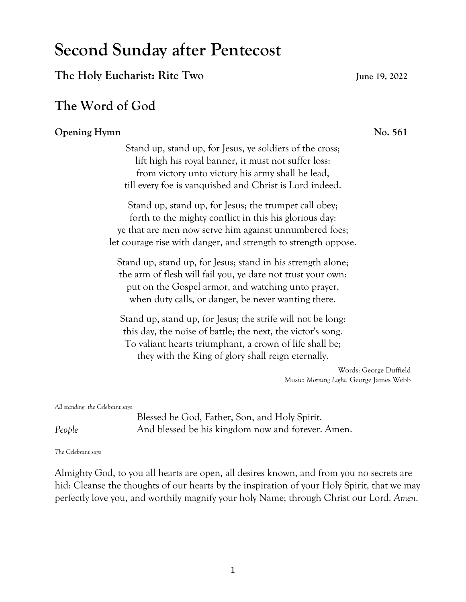# **Second Sunday after Pentecost**

## **The Holy Eucharist: Rite Two June 19, 2022**

## **The Word of God**

#### **Opening Hymn No. 561**

Stand up, stand up, for Jesus, ye soldiers of the cross; lift high his royal banner, it must not suffer loss: from victory unto victory his army shall he lead, till every foe is vanquished and Christ is Lord indeed.

Stand up, stand up, for Jesus; the trumpet call obey; forth to the mighty conflict in this his glorious day: ye that are men now serve him against unnumbered foes; let courage rise with danger, and strength to strength oppose.

Stand up, stand up, for Jesus; stand in his strength alone; the arm of flesh will fail you, ye dare not trust your own: put on the Gospel armor, and watching unto prayer, when duty calls, or danger, be never wanting there.

Stand up, stand up, for Jesus; the strife will not be long: this day, the noise of battle; the next, the victor's song. To valiant hearts triumphant, a crown of life shall be; they with the King of glory shall reign eternally.

> Words: George Duffield Music*: Morning Light,* George James Webb

*All standing, the Celebrant says*

Blessed be God, Father, Son, and Holy Spirit. *People* **And blessed be his kingdom now and forever. Amen.** 

*The Celebrant says*

Almighty God, to you all hearts are open, all desires known, and from you no secrets are hid: Cleanse the thoughts of our hearts by the inspiration of your Holy Spirit, that we may perfectly love you, and worthily magnify your holy Name; through Christ our Lord. *Amen*.

1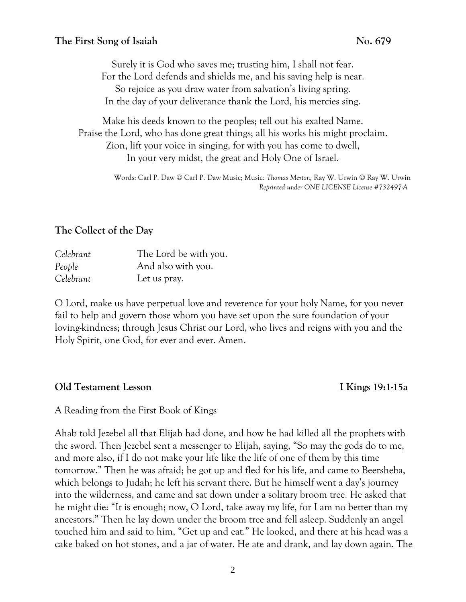### **The First Song of Isaiah No. 679**

Surely it is God who saves me; trusting him, I shall not fear. For the Lord defends and shields me, and his saving help is near. So rejoice as you draw water from salvation's living spring. In the day of your deliverance thank the Lord, his mercies sing.

Make his deeds known to the peoples; tell out his exalted Name. Praise the Lord, who has done great things; all his works his might proclaim. Zion, lift your voice in singing, for with you has come to dwell, In your very midst, the great and Holy One of Israel.

> Words: Carl P. Daw © Carl P. Daw Music; Music*: Thomas Merton,* Ray W. Urwin © Ray W. Urwin *Reprinted under ONE LICENSE License #732497-A*

## **The Collect of the Day**

| Celebrant | The Lord be with you. |
|-----------|-----------------------|
| People    | And also with you.    |
| Celebrant | Let us pray.          |

O Lord, make us have perpetual love and reverence for your holy Name, for you never fail to help and govern those whom you have set upon the sure foundation of your loving-kindness; through Jesus Christ our Lord, who lives and reigns with you and the Holy Spirit, one God, for ever and ever. Amen.

## **Old Testament Lesson I Kings 19:1-15a**

A Reading from the First Book of Kings

Ahab told Jezebel all that Elijah had done, and how he had killed all the prophets with the sword. Then Jezebel sent a messenger to Elijah, saying, "So may the gods do to me, and more also, if I do not make your life like the life of one of them by this time tomorrow." Then he was afraid; he got up and fled for his life, and came to Beersheba, which belongs to Judah; he left his servant there. But he himself went a day's journey into the wilderness, and came and sat down under a solitary broom tree. He asked that he might die: "It is enough; now, O Lord, take away my life, for I am no better than my ancestors." Then he lay down under the broom tree and fell asleep. Suddenly an angel touched him and said to him, "Get up and eat." He looked, and there at his head was a cake baked on hot stones, and a jar of water. He ate and drank, and lay down again. The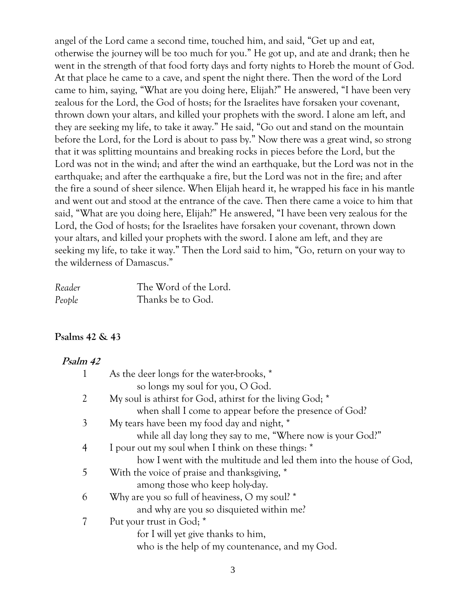angel of the Lord came a second time, touched him, and said, "Get up and eat, otherwise the journey will be too much for you." He got up, and ate and drank; then he went in the strength of that food forty days and forty nights to Horeb the mount of God. At that place he came to a cave, and spent the night there. Then the word of the Lord came to him, saying, "What are you doing here, Elijah?" He answered, "I have been very zealous for the Lord, the God of hosts; for the Israelites have forsaken your covenant, thrown down your altars, and killed your prophets with the sword. I alone am left, and they are seeking my life, to take it away." He said, "Go out and stand on the mountain before the Lord, for the Lord is about to pass by." Now there was a great wind, so strong that it was splitting mountains and breaking rocks in pieces before the Lord, but the Lord was not in the wind; and after the wind an earthquake, but the Lord was not in the earthquake; and after the earthquake a fire, but the Lord was not in the fire; and after the fire a sound of sheer silence. When Elijah heard it, he wrapped his face in his mantle and went out and stood at the entrance of the cave. Then there came a voice to him that said, "What are you doing here, Elijah?" He answered, "I have been very zealous for the Lord, the God of hosts; for the Israelites have forsaken your covenant, thrown down your altars, and killed your prophets with the sword. I alone am left, and they are seeking my life, to take it way." Then the Lord said to him, "Go, return on your way to the wilderness of Damascus."

| Reader | The Word of the Lord. |
|--------|-----------------------|
| People | Thanks be to God.     |

#### **Psalms 42 & 43**

#### **Psalm 42**

| 1 | As the deer longs for the water-brooks, *                         |
|---|-------------------------------------------------------------------|
|   | so longs my soul for you, O God.                                  |
| 2 | My soul is athirst for God, athirst for the living God; *         |
|   | when shall I come to appear before the presence of God?           |
| 3 | My tears have been my food day and night, *                       |
|   | while all day long they say to me, "Where now is your God?"       |
| 4 | I pour out my soul when I think on these things: *                |
|   | how I went with the multitude and led them into the house of God, |
| 5 | With the voice of praise and thanksgiving, *                      |
|   | among those who keep holy-day.                                    |
| 6 | Why are you so full of heaviness, O my soul? *                    |
|   | and why are you so disquieted within me?                          |
| 7 | Put your trust in God; *                                          |
|   | for I will yet give thanks to him,                                |
|   | who is the help of my countenance, and my God.                    |
|   |                                                                   |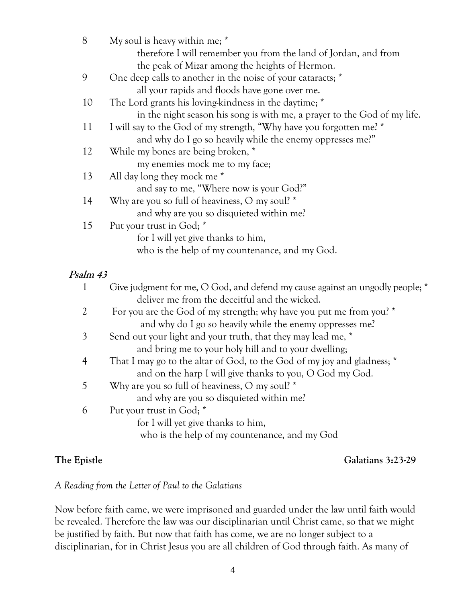| 8              | My soul is heavy within me; *<br>therefore I will remember you from the land of Jordan, and from                                               |
|----------------|------------------------------------------------------------------------------------------------------------------------------------------------|
|                | the peak of Mizar among the heights of Hermon.                                                                                                 |
| 9              | One deep calls to another in the noise of your cataracts; *                                                                                    |
|                | all your rapids and floods have gone over me.                                                                                                  |
| 10             | The Lord grants his loving-kindness in the daytime; *                                                                                          |
| 11             | in the night season his song is with me, a prayer to the God of my life.<br>I will say to the God of my strength, "Why have you forgotten me?" |
|                | and why do I go so heavily while the enemy oppresses me?"                                                                                      |
| 12             | While my bones are being broken, *                                                                                                             |
|                | my enemies mock me to my face;                                                                                                                 |
| 13             | All day long they mock me *                                                                                                                    |
|                | and say to me, "Where now is your God?"                                                                                                        |
| 14             | Why are you so full of heaviness, O my soul? *                                                                                                 |
|                | and why are you so disquieted within me?                                                                                                       |
| 15             | Put your trust in God; *                                                                                                                       |
|                | for I will yet give thanks to him,                                                                                                             |
|                | who is the help of my countenance, and my God.                                                                                                 |
| Psalm 43       |                                                                                                                                                |
| 1              | Give judgment for me, O God, and defend my cause against an ungodly people; *                                                                  |
|                | deliver me from the deceitful and the wicked.                                                                                                  |
| $\overline{2}$ | For you are the God of my strength; why have you put me from you? *                                                                            |
|                | and why do I go so heavily while the enemy oppresses me?                                                                                       |
| $\mathfrak{Z}$ | Send out your light and your truth, that they may lead me, *                                                                                   |
|                | and bring me to your holy hill and to your dwelling;                                                                                           |
| $\overline{4}$ | That I may go to the altar of God, to the God of my joy and gladness; *                                                                        |
|                | and on the harp I will give thanks to you, O God my God.                                                                                       |
| 5              | Why are you so full of heaviness, O my soul? *                                                                                                 |
|                |                                                                                                                                                |

and why are you so disquieted within me? 6 Put your trust in God; \* for I will yet give thanks to him, who is the help of my countenance, and my God

**The Epistle Galatians** 3:23-29

## *A Reading from the Letter of Paul to the Galatians*

Now before faith came, we were imprisoned and guarded under the law until faith would be revealed. Therefore the law was our disciplinarian until Christ came, so that we might be justified by faith. But now that faith has come, we are no longer subject to a disciplinarian, for in Christ Jesus you are all children of God through faith. As many of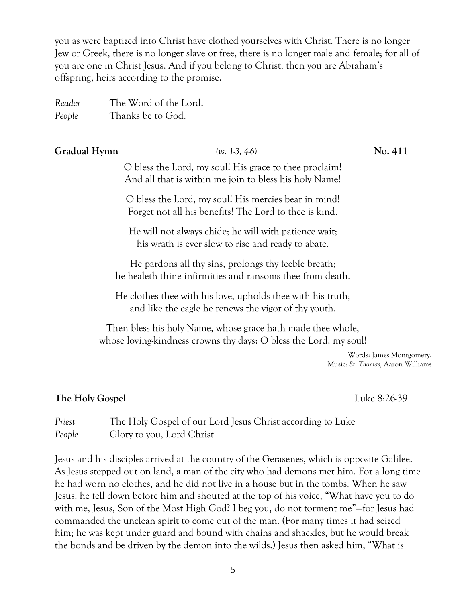you as were baptized into Christ have clothed yourselves with Christ. There is no longer Jew or Greek, there is no longer slave or free, there is no longer male and female; for all of you are one in Christ Jesus. And if you belong to Christ, then you are Abraham's offspring, heirs according to the promise.

| Reader | The Word of the Lord. |
|--------|-----------------------|
| People | Thanks be to God.     |

## **Gradual Hymn** *(vs. 1-3, 4-6)* **No. 411**

O bless the Lord, my soul! His grace to thee proclaim! And all that is within me join to bless his holy Name!

O bless the Lord, my soul! His mercies bear in mind! Forget not all his benefits! The Lord to thee is kind.

He will not always chide; he will with patience wait; his wrath is ever slow to rise and ready to abate.

He pardons all thy sins, prolongs thy feeble breath; he healeth thine infirmities and ransoms thee from death.

He clothes thee with his love, upholds thee with his truth; and like the eagle he renews the vigor of thy youth.

Then bless his holy Name, whose grace hath made thee whole, whose loving-kindness crowns thy days: O bless the Lord, my soul!

> Words: James Montgomery, Music: *St. Thomas,* Aaron Williams

## **The Holy Gospel** Luke 8:26-39

*Priest* The Holy Gospel of our Lord Jesus Christ according to Luke *People* Glory to you, Lord Christ

Jesus and his disciples arrived at the country of the Gerasenes, which is opposite Galilee. As Jesus stepped out on land, a man of the city who had demons met him. For a long time he had worn no clothes, and he did not live in a house but in the tombs. When he saw Jesus, he fell down before him and shouted at the top of his voice, "What have you to do with me, Jesus, Son of the Most High God? I beg you, do not torment me"—for Jesus had commanded the unclean spirit to come out of the man. (For many times it had seized him; he was kept under guard and bound with chains and shackles, but he would break the bonds and be driven by the demon into the wilds.) Jesus then asked him, "What is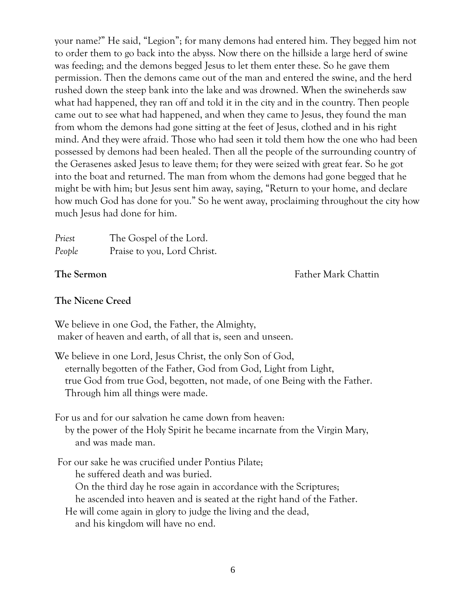your name?" He said, "Legion"; for many demons had entered him. They begged him not to order them to go back into the abyss. Now there on the hillside a large herd of swine was feeding; and the demons begged Jesus to let them enter these. So he gave them permission. Then the demons came out of the man and entered the swine, and the herd rushed down the steep bank into the lake and was drowned. When the swineherds saw what had happened, they ran off and told it in the city and in the country. Then people came out to see what had happened, and when they came to Jesus, they found the man from whom the demons had gone sitting at the feet of Jesus, clothed and in his right mind. And they were afraid. Those who had seen it told them how the one who had been possessed by demons had been healed. Then all the people of the surrounding country of the Gerasenes asked Jesus to leave them; for they were seized with great fear. So he got into the boat and returned. The man from whom the demons had gone begged that he might be with him; but Jesus sent him away, saying, "Return to your home, and declare how much God has done for you." So he went away, proclaiming throughout the city how much Jesus had done for him.

| Priest | The Gospel of the Lord.     |
|--------|-----------------------------|
| People | Praise to you, Lord Christ. |

**The Sermon Father Mark Chattin** 

### **The Nicene Creed**

We believe in one God, the Father, the Almighty, maker of heaven and earth, of all that is, seen and unseen.

We believe in one Lord, Jesus Christ, the only Son of God, eternally begotten of the Father, God from God, Light from Light, true God from true God, begotten, not made, of one Being with the Father. Through him all things were made.

For us and for our salvation he came down from heaven:

 by the power of the Holy Spirit he became incarnate from the Virgin Mary, and was made man.

For our sake he was crucified under Pontius Pilate; he suffered death and was buried. On the third day he rose again in accordance with the Scriptures; he ascended into heaven and is seated at the right hand of the Father. He will come again in glory to judge the living and the dead, and his kingdom will have no end.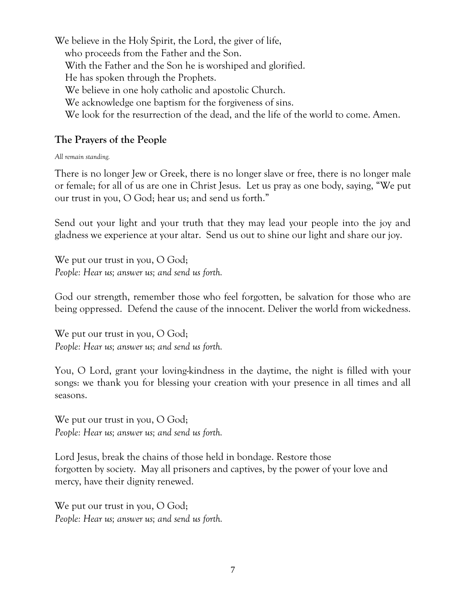We believe in the Holy Spirit, the Lord, the giver of life, who proceeds from the Father and the Son. With the Father and the Son he is worshiped and glorified. He has spoken through the Prophets. We believe in one holy catholic and apostolic Church. We acknowledge one baptism for the forgiveness of sins. We look for the resurrection of the dead, and the life of the world to come. Amen.

## **The Prayers of the People**

*All remain standing.*

There is no longer Jew or Greek, there is no longer slave or free, there is no longer male or female; for all of us are one in Christ Jesus. Let us pray as one body, saying, "We put our trust in you, O God; hear us; and send us forth."

Send out your light and your truth that they may lead your people into the joy and gladness we experience at your altar. Send us out to shine our light and share our joy.

We put our trust in you, O God; *People: Hear us; answer us; and send us forth.*

God our strength, remember those who feel forgotten, be salvation for those who are being oppressed. Defend the cause of the innocent. Deliver the world from wickedness.

We put our trust in you, O God; *People: Hear us; answer us; and send us forth.*

You, O Lord, grant your loving-kindness in the daytime, the night is filled with your songs: we thank you for blessing your creation with your presence in all times and all seasons.

We put our trust in you, O God; *People: Hear us; answer us; and send us forth.*

Lord Jesus, break the chains of those held in bondage. Restore those forgotten by society. May all prisoners and captives, by the power of your love and mercy, have their dignity renewed.

We put our trust in you, O God; *People: Hear us; answer us; and send us forth.*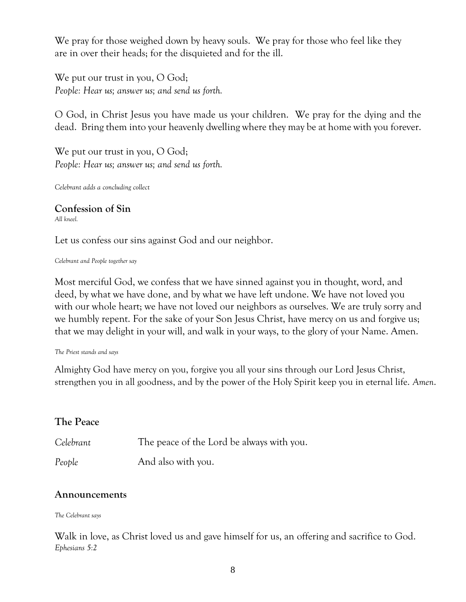We pray for those weighed down by heavy souls. We pray for those who feel like they are in over their heads; for the disquieted and for the ill.

We put our trust in you, O God; *People: Hear us; answer us; and send us forth.*

O God, in Christ Jesus you have made us your children. We pray for the dying and the dead. Bring them into your heavenly dwelling where they may be at home with you forever.

We put our trust in you, O God; *People: Hear us; answer us; and send us forth.*

*Celebrant adds a concluding collect*

**Confession of Sin** *All kneel.*

Let us confess our sins against God and our neighbor.

*Celebrant and People together say*

Most merciful God, we confess that we have sinned against you in thought, word, and deed, by what we have done, and by what we have left undone. We have not loved you with our whole heart; we have not loved our neighbors as ourselves. We are truly sorry and we humbly repent. For the sake of your Son Jesus Christ, have mercy on us and forgive us; that we may delight in your will, and walk in your ways, to the glory of your Name. Amen.

*The Priest stands and says*

Almighty God have mercy on you, forgive you all your sins through our Lord Jesus Christ, strengthen you in all goodness, and by the power of the Holy Spirit keep you in eternal life. *Amen*.

## **The Peace**

*Celebrant* The peace of the Lord be always with you.

*People* **And also with you.** 

## **Announcements**

*The Celebrant says*

Walk in love, as Christ loved us and gave himself for us, an offering and sacrifice to God. *Ephesians 5:2*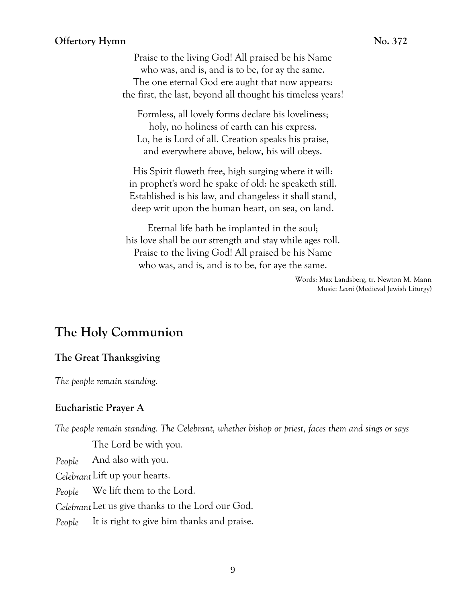#### **Offertory Hymn No. 372**

Praise to the living God! All praised be his Name who was, and is, and is to be, for ay the same. The one eternal God ere aught that now appears: the first, the last, beyond all thought his timeless years!

Formless, all lovely forms declare his loveliness; holy, no holiness of earth can his express. Lo, he is Lord of all. Creation speaks his praise, and everywhere above, below, his will obeys.

His Spirit floweth free, high surging where it will: in prophet's word he spake of old: he speaketh still. Established is his law, and changeless it shall stand, deep writ upon the human heart, on sea, on land.

Eternal life hath he implanted in the soul; his love shall be our strength and stay while ages roll. Praise to the living God! All praised be his Name who was, and is, and is to be, for aye the same.

> Words: Max Landsberg, tr. Newton M. Mann Music: *Leoni* (Medieval Jewish Liturgy)

## **The Holy Communion**

#### **The Great Thanksgiving**

*The people remain standing.*

#### **Eucharistic Prayer A**

*The people remain standing. The Celebrant, whether bishop or priest, faces them and sings or says* The Lord be with you.

*People* And also with you.

*Celebrant*Lift up your hearts.

*People* We lift them to the Lord.

*Celebrant*Let us give thanks to the Lord our God.

*People* It is right to give him thanks and praise.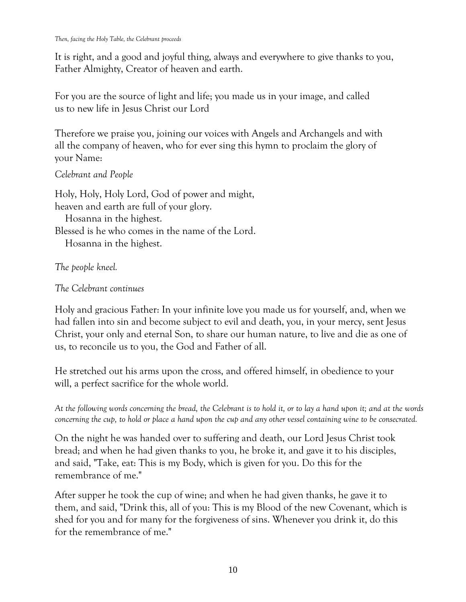#### *Then, facing the Holy Table, the Celebrant proceeds*

It is right, and a good and joyful thing, always and everywhere to give thanks to you, Father Almighty, Creator of heaven and earth.

For you are the source of light and life; you made us in your image, and called us to new life in Jesus Christ our Lord

Therefore we praise you, joining our voices with Angels and Archangels and with all the company of heaven, who for ever sing this hymn to proclaim the glory of your Name:

### *Celebrant and People*

Holy, Holy, Holy Lord, God of power and might, heaven and earth are full of your glory. Hosanna in the highest. Blessed is he who comes in the name of the Lord. Hosanna in the highest.

*The people kneel.*

### *The Celebrant continues*

Holy and gracious Father: In your infinite love you made us for yourself, and, when we had fallen into sin and become subject to evil and death, you, in your mercy, sent Jesus Christ, your only and eternal Son, to share our human nature, to live and die as one of us, to reconcile us to you, the God and Father of all.

He stretched out his arms upon the cross, and offered himself, in obedience to your will, a perfect sacrifice for the whole world.

*At the following words concerning the bread, the Celebrant is to hold it, or to lay a hand upon it; and at the words concerning the cup, to hold or place a hand upon the cup and any other vessel containing wine to be consecrated.*

On the night he was handed over to suffering and death, our Lord Jesus Christ took bread; and when he had given thanks to you, he broke it, and gave it to his disciples, and said, "Take, eat: This is my Body, which is given for you. Do this for the remembrance of me."

After supper he took the cup of wine; and when he had given thanks, he gave it to them, and said, "Drink this, all of you: This is my Blood of the new Covenant, which is shed for you and for many for the forgiveness of sins. Whenever you drink it, do this for the remembrance of me."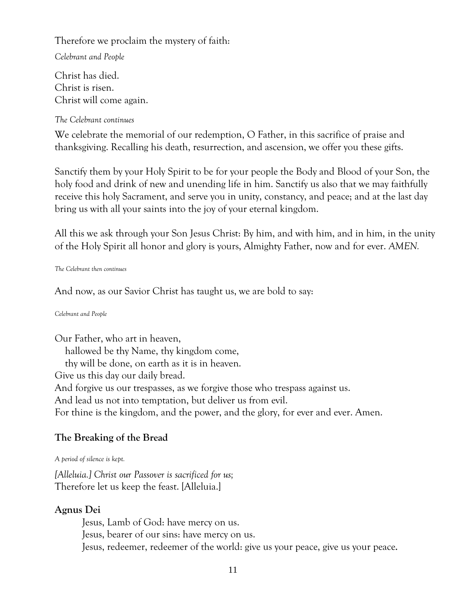Therefore we proclaim the mystery of faith:

*Celebrant and People*

Christ has died. Christ is risen. Christ will come again.

*The Celebrant continues*

We celebrate the memorial of our redemption, O Father, in this sacrifice of praise and thanksgiving. Recalling his death, resurrection, and ascension, we offer you these gifts.

Sanctify them by your Holy Spirit to be for your people the Body and Blood of your Son, the holy food and drink of new and unending life in him. Sanctify us also that we may faithfully receive this holy Sacrament, and serve you in unity, constancy, and peace; and at the last day bring us with all your saints into the joy of your eternal kingdom.

All this we ask through your Son Jesus Christ: By him, and with him, and in him, in the unity of the Holy Spirit all honor and glory is yours, Almighty Father, now and for ever. *AMEN.*

*The Celebrant then continues*

And now, as our Savior Christ has taught us, we are bold to say:

*Celebrant and People*

Our Father, who art in heaven, hallowed be thy Name, thy kingdom come, thy will be done, on earth as it is in heaven. Give us this day our daily bread. And forgive us our trespasses, as we forgive those who trespass against us. And lead us not into temptation, but deliver us from evil. For thine is the kingdom, and the power, and the glory, for ever and ever. Amen.

## **The Breaking of the Bread**

*A period of silence is kept.*

*[Alleluia.] Christ our Passover is sacrificed for us;* Therefore let us keep the feast. [Alleluia.]

## **Agnus Dei**

Jesus, Lamb of God: have mercy on us. Jesus, bearer of our sins: have mercy on us. Jesus, redeemer, redeemer of the world: give us your peace, give us your peace*.*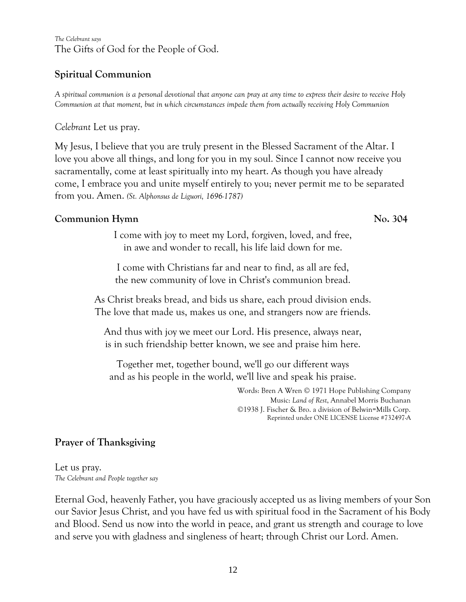#### *The Celebrant says* The Gifts of God for the People of God.

## **Spiritual Communion**

*A spiritual communion is a personal devotional that anyone can pray at any time to express their desire to receive Holy Communion at that moment, but in which circumstances impede them from actually receiving Holy Communion*

#### *Celebrant* Let us pray.

My Jesus, I believe that you are truly present in the Blessed Sacrament of the Altar. I love you above all things, and long for you in my soul. Since I cannot now receive you sacramentally, come at least spiritually into my heart. As though you have already come, I embrace you and unite myself entirely to you; never permit me to be separated from you. Amen. *(St. Alphonsus de Liguori, 1696-1787)*

### **Communion Hymn No. 304**

I come with joy to meet my Lord, forgiven, loved, and free, in awe and wonder to recall, his life laid down for me.

I come with Christians far and near to find, as all are fed, the new community of love in Christ's communion bread.

As Christ breaks bread, and bids us share, each proud division ends. The love that made us, makes us one, and strangers now are friends.

And thus with joy we meet our Lord. His presence, always near, is in such friendship better known, we see and praise him here.

Together met, together bound, we'll go our different ways and as his people in the world, we'll live and speak his praise.

> Words: Bren A Wren © 1971 Hope Publishing Company Music: *Land of Rest*, Annabel Morris Buchanan ©1938 J. Fischer & Bro. a division of Belwin=Mills Corp. Reprinted under ONE LICENSE License #732497-A

## **Prayer of Thanksgiving**

Let us pray. *The Celebrant and People together say*

Eternal God, heavenly Father, you have graciously accepted us as living members of your Son our Savior Jesus Christ, and you have fed us with spiritual food in the Sacrament of his Body and Blood. Send us now into the world in peace, and grant us strength and courage to love and serve you with gladness and singleness of heart; through Christ our Lord. Amen.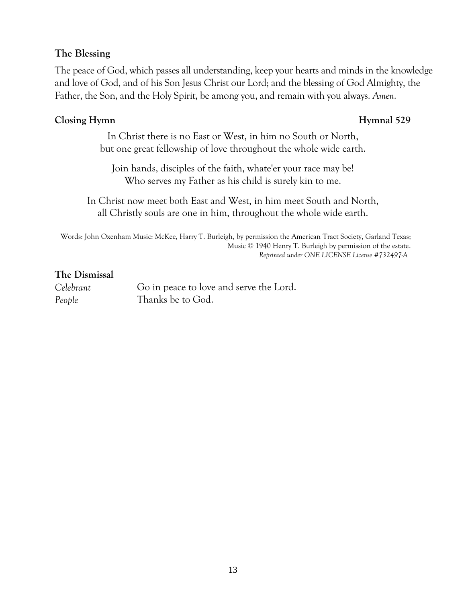## **The Blessing**

The peace of God, which passes all understanding, keep your hearts and minds in the knowledge and love of God, and of his Son Jesus Christ our Lord; and the blessing of God Almighty, the Father, the Son, and the Holy Spirit, be among you, and remain with you always. *Amen*.

## **Closing Hymn** *Hymnal 529*

In Christ there is no East or West, in him no South or North, but one great fellowship of love throughout the whole wide earth.

Join hands, disciples of the faith, whate'er your race may be! Who serves my Father as his child is surely kin to me.

In Christ now meet both East and West, in him meet South and North, all Christly souls are one in him, throughout the whole wide earth.

Words: John Oxenham Music: McKee, Harry T. Burleigh, by permission the American Tract Society, Garland Texas; Music © 1940 Henry T. Burleigh by permission of the estate. *Reprinted under ONE LICENSE License #732497-A*

#### **The Dismissal**

| Celebrant | Go in peace to love and serve the Lord. |
|-----------|-----------------------------------------|
| People    | Thanks be to God.                       |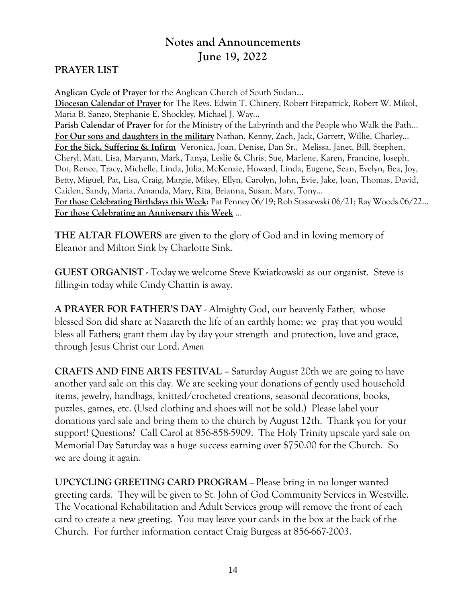## **Notes and Announcements June 19, 2022**

## **PRAYER LIST**

**Anglican Cycle of Prayer** for the Anglican Church of South Sudan… **Diocesan Calendar of Prayer** for The Revs. Edwin T. Chinery, Robert Fitzpatrick, Robert W. Mikol, Maria B. Sanzo, Stephanie E. Shockley, Michael J. Way… **Parish Calendar of Prayer** for for the Ministry of the Labyrinth and the People who Walk the Path… **For Our sons and daughters in the military** Nathan, Kenny, Zach, Jack, Garrett, Willie, Charley… **For the Sick, Suffering & Infirm** Veronica, Joan, Denise, Dan Sr., Melissa, Janet, Bill, Stephen, Cheryl, Matt, Lisa, Maryann, Mark, Tanya, Leslie & Chris, Sue, Marlene, Karen, Francine, Joseph, Dot, Renee, Tracy, Michelle, Linda, Julia, McKenzie, Howard, Linda, Eugene, Sean, Evelyn, Bea, Joy, Betty, Miguel, Pat, Lisa, Craig, Margie, Mikey, Ellyn, Carolyn, John, Evie, Jake, Joan, Thomas, David, Caiden, Sandy, Maria, Amanda, Mary, Rita, Brianna, Susan, Mary, Tony… **For those Celebrating Birthdays this Week:** Pat Penney 06/19; Rob Staszewski 06/21; Ray Woods 06/22… **For those Celebrating an Anniversary this Week** …

**THE ALTAR FLOWERS** are given to the glory of God and in loving memory of Eleanor and Milton Sink by Charlotte Sink.

**GUEST ORGANIST -** Today we welcome Steve Kwiatkowski as our organist. Steve is filling-in today while Cindy Chattin is away.

**A PRAYER FOR FATHER'S DAY** - Almighty God, our heavenly Father, whose blessed Son did share at Nazareth the life of an earthly home; we pray that you would bless all Fathers; grant them day by day your strength and protection, love and grace, through Jesus Christ our Lord. *Amen*

**CRAFTS AND FINE ARTS FESTIVAL –** Saturday August 20th we are going to have another yard sale on this day. We are seeking your donations of gently used household items, jewelry, handbags, knitted/crocheted creations, seasonal decorations, books, puzzles, games, etc. (Used clothing and shoes will not be sold.) Please label your donations yard sale and bring them to the church by August 12th. Thank you for your support! Questions? Call Carol at 856-858-5909. The Holy Trinity upscale yard sale on Memorial Day Saturday was a huge success earning over \$750.00 for the Church. So we are doing it again.

**UPCYCLING GREETING CARD PROGRAM** – Please bring in no longer wanted greeting cards. They will be given to St. John of God Community Services in Westville. The Vocational Rehabilitation and Adult Services group will remove the front of each card to create a new greeting. You may leave your cards in the box at the back of the Church. For further information contact Craig Burgess at 856-667-2003.